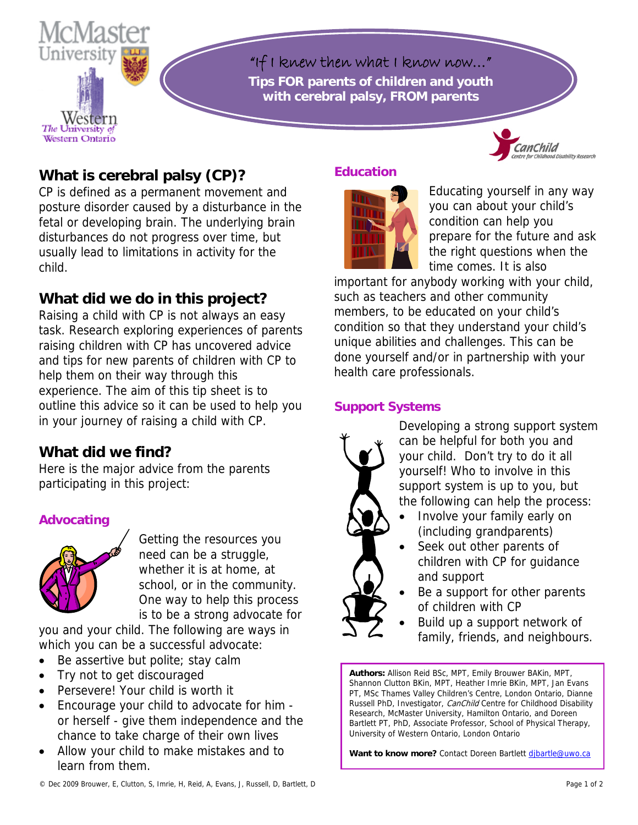

"If I knew then what I know now…" **Tips FOR parents of children and youth with cerebral palsy, FROM parents** 

# **What is cerebral palsy (CP)?**

CP is defined as a permanent movement and posture disorder caused by a disturbance in the fetal or developing brain. The underlying brain disturbances do not progress over time, but usually lead to limitations in activity for the child.

## **What did we do in this project?**

Raising a child with CP is not always an easy task. Research exploring experiences of parents raising children with CP has uncovered advice and tips for new parents of children with CP to help them on their way through this experience. The aim of this tip sheet is to outline this advice so it can be used to help you in your journey of raising a child with CP.

## **What did we find?**

Here is the major advice from the parents participating in this project:

#### **Advocating**



Getting the resources you need can be a struggle, whether it is at home, at school, or in the community. One way to help this process is to be a strong advocate for

you and your child. The following are ways in which you can be a successful advocate:

- Be assertive but polite; stay calm
- Try not to get discouraged
- Persevere! Your child is worth it
- Encourage your child to advocate for him or herself - give them independence and the chance to take charge of their own lives
- Allow your child to make mistakes and to learn from them.

#### **Education**



Educating yourself in any way you can about your child's condition can help you prepare for the future and ask the right questions when the time comes. It is also

important for anybody working with your c hild, such as teachers and other community members, to be educated on your child's condition so that they understand your child' s unique abilities and challenges. This can be done yourself and/or in partnership with your health care professionals.

#### **Support S ystems**



Developing a strong support system the following can help the process: can be helpful for both you and your child. Don't try to do it all yourself! Who to involve in this support system is up to you, but

- Involve your family early on (including grandparents)
- Seek out other parents of children with CP for guidance and support
- Be a support for other parents of children with CP
	- family, friends , and neighbours. Build up a support network of

**Authors:** Allison Reid BSc, MPT, Emily Brouwer BAKin, MPT, Shannon Clutton BKin, MPT, Heather Imrie BKin, MPT, Jan Evans PT, MSc Thames Valley Children's Centre, London Ontario, Dianne Russell PhD, Investigator, CanChild Centre for Childhood Disability Research, McMaster University, Hamilton Ontario, and Doreen Bartlett PT, PhD, Associate Professor, School of Physical Therapy, University of Western Ontario, London Ontario

Want to know more? Contact Doreen Bartlett dibartle@uwo.ca